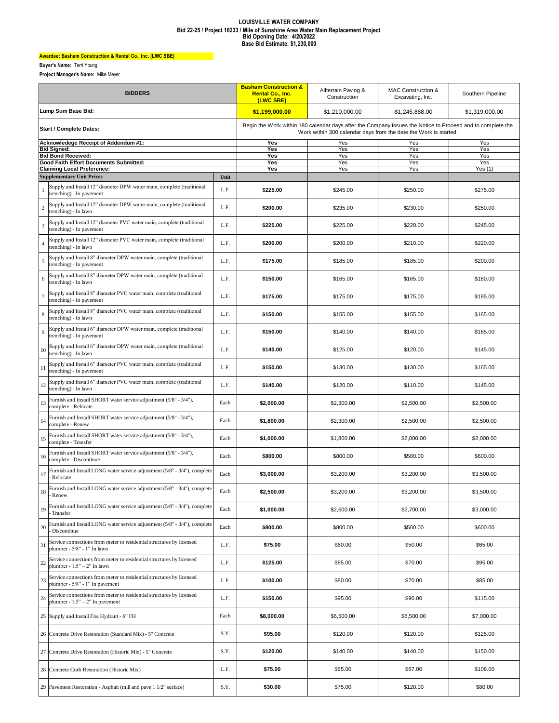## **LOUISVILLE WATER COMPANY Bid 22-25 / Project 16233 / Mile of Sunshine Area Water Main Replacement Project Bid Opening Date: 4/20/2022 Base Bid Estimate: \$1,230,000**

## **Awardee: Basham Construction & Rental Co., Inc. (LWC SBE)**

**Buyer's Name:** Terri Young

**Project Manager's Name:** Mike Meyer

| <b>BIDDERS</b>                       |                                                                                                           |      | <b>Basham Construction &amp;</b><br><b>Rental Co., Inc.</b><br>(LWC SBE)                                                                                                       | Allterrain Paving &<br>Construction | MAC Construction &<br>Excavating, Inc. | Southern Pipeline |  |
|--------------------------------------|-----------------------------------------------------------------------------------------------------------|------|--------------------------------------------------------------------------------------------------------------------------------------------------------------------------------|-------------------------------------|----------------------------------------|-------------------|--|
| Lump Sum Base Bid:                   |                                                                                                           |      | \$1,199,000.00                                                                                                                                                                 | \$1,210,000.00                      | \$1,245,888.00                         | \$1.319.000.00    |  |
| <b>Start / Complete Dates:</b>       |                                                                                                           |      | Begin the Work within 180 calendar days after the Company issues the Notice to Proceed and to complete the<br>Work within 300 calendar days from the date the Work is started. |                                     |                                        |                   |  |
| Acknowledege Receipt of Addendum #1: |                                                                                                           |      | Yes                                                                                                                                                                            | Yes                                 | Yes                                    | Yes               |  |
|                                      | <b>Bid Signed:</b><br><b>Bid Bond Received:</b>                                                           |      | Yes<br>Yes                                                                                                                                                                     | Yes<br>Yes                          | Yes<br>Yes                             | Yes<br>Yes        |  |
|                                      | Good Faith Effort Documents Submitted:                                                                    |      | Yes                                                                                                                                                                            | Yes                                 | Yes                                    | Yes               |  |
|                                      | <b>Claiming Local Preference:</b>                                                                         |      | Yes                                                                                                                                                                            | Yes                                 | Yes                                    | Yes $(1)$         |  |
|                                      | <b>Supplementary Unit Prices</b>                                                                          | Unit |                                                                                                                                                                                |                                     |                                        |                   |  |
| 1                                    | Supply and Install 12" diameter DPW water main, complete (traditional<br>trenching) - In pavement         | L.F. | \$225.00                                                                                                                                                                       | \$245.00                            | \$250.00                               | \$275.00          |  |
| $\sqrt{2}$                           | Supply and Install 12" diameter DPW water main, complete (traditional<br>trenching) - In lawn             | L.F. | \$200.00                                                                                                                                                                       | \$235.00                            | \$230.00                               | \$250.00          |  |
| $\mathfrak{Z}$                       | Supply and Install 12" diameter PVC water main, complete (traditional<br>trenching) - In pavement         | L.F. | \$225.00                                                                                                                                                                       | \$225.00                            | \$220.00                               | \$245.00          |  |
| $\overline{4}$                       | Supply and Install 12" diameter PVC water main, complete (traditional<br>trenching) - In lawn             | L.F. | \$200.00                                                                                                                                                                       | \$200.00                            | \$210.00                               | \$220.00          |  |
| $\sqrt{5}$                           | Supply and Install 8" diameter DPW water main, complete (traditional<br>trenching) - In pavement          | L.F. | \$175.00                                                                                                                                                                       | \$185.00                            | \$185.00                               | \$200.00          |  |
| 6                                    | Supply and Install 8" diameter DPW water main, complete (traditional<br>trenching) - In lawn              | L.F. | \$150.00                                                                                                                                                                       | \$165.00                            | \$165.00                               | \$180.00          |  |
| $\overline{7}$                       | Supply and Install 8" diameter PVC water main, complete (traditional<br>trenching) - In pavement          | L.F. | \$175.00                                                                                                                                                                       | \$175.00                            | \$175.00                               | \$185.00          |  |
| $\,$ 8 $\,$                          | Supply and Install 8" diameter PVC water main, complete (traditional<br>trenching) - In lawn              | L.F. | \$150.00                                                                                                                                                                       | \$155.00                            | \$155.00                               | \$165.00          |  |
| 9                                    | Supply and Install 6" diameter DPW water main, complete (traditional<br>trenching) - In pavement          | L.F. | \$150.00                                                                                                                                                                       | \$140.00                            | \$140.00                               | \$165.00          |  |
| 10                                   | Supply and Install 6" diameter DPW water main, complete (traditional<br>trenching) - In lawn              | L.F. | \$140.00                                                                                                                                                                       | \$125.00                            | \$120.00                               | \$145.00          |  |
| 11                                   | Supply and Install 6" diameter PVC water main, complete (traditional<br>trenching) - In pavement          | L.F. | \$150.00                                                                                                                                                                       | \$130.00                            | \$130.00                               | \$165.00          |  |
| 12                                   | Supply and Install 6" diameter PVC water main, complete (traditional<br>trenching) - In lawn              | L.F. | \$140.00                                                                                                                                                                       | \$120.00                            | \$110.00                               | \$145.00          |  |
| 13                                   | Furnish and Install SHORT water service adjustment (5/8" - 3/4"),<br>complete - Relocate                  | Each | \$2,000.00                                                                                                                                                                     | \$2,300.00                          | \$2,500.00                             | \$2,500.00        |  |
| 14                                   | Furnish and Install SHORT water service adjustment (5/8" - 3/4"),<br>complete - Renew                     | Each | \$1,800.00                                                                                                                                                                     | \$2,300.00                          | \$2,500.00                             | \$2,500.00        |  |
| 15                                   | Furnish and Install SHORT water service adjustment (5/8" - 3/4"),<br>complete - Transfer                  | Each | \$1,000.00                                                                                                                                                                     | \$1,800.00                          | \$2,000.00                             | \$2,000.00        |  |
| 16                                   | Furnish and Install SHORT water service adjustment (5/8" - 3/4"),<br>complete - Discontinue               | Each | \$800.00                                                                                                                                                                       | \$800.00                            | \$500.00                               | \$600.00          |  |
| 17                                   | Furnish and Install LONG water service adjustment (5/8" - 3/4"), complete<br>Relocate                     | Each | \$3,000.00                                                                                                                                                                     | \$3,200.00                          | \$3,200.00                             | \$3,500.00        |  |
| 18                                   | Furnish and Install LONG water service adjustment (5/8" - 3/4"), complete                                 | Each | \$2,500.00                                                                                                                                                                     | \$3,200.00                          | \$3,200.00                             | \$3,500.00        |  |
| 19                                   | Furnish and Install LONG water service adjustment (5/8" - 3/4"), complete<br>Transfer                     | Each | \$1,000.00                                                                                                                                                                     | \$2,600.00                          | \$2,700.00                             | \$3,000.00        |  |
| 20                                   | Furnish and Install LONG water service adjustment (5/8" - 3/4"), complete<br>Discontinue                  | Each | \$800.00                                                                                                                                                                       | \$800.00                            | \$500.00                               | \$600.00          |  |
| 21                                   | Service connections from meter to residential structures by licensed<br>plumber - 5/8" - 1" In lawn       | L.F. | \$75.00                                                                                                                                                                        | \$60.00                             | \$50.00                                | \$65.00           |  |
| $22\,$                               | Service connections from meter to residential structures by licensed<br>plumber - $1.5" - 2"$ In lawn     | L.F. | \$125.00                                                                                                                                                                       | \$85.00                             | \$70.00                                | \$95.00           |  |
| $23\,$                               | Service connections from meter to residential structures by licensed<br>plumber - 5/8" - 1" In pavement   | L.F. | \$100.00                                                                                                                                                                       | \$80.00                             | \$70.00                                | \$85.00           |  |
| 24                                   | Service connections from meter to residential structures by licensed<br>plumber - $1.5" - 2"$ In pavement | L.F. | \$150.00                                                                                                                                                                       | \$95.00                             | \$90.00                                | \$115.00          |  |
| 25                                   | Supply and Install Fire Hydrant - 6" FH                                                                   | Each | \$8,000.00                                                                                                                                                                     | \$6,500.00                          | \$6,500.00                             | \$7,000.00        |  |
| 26                                   | Concrete Drive Restoration (Standard Mix) - 5" Concrete                                                   | S.Y. | \$95.00                                                                                                                                                                        | \$120.00                            | \$120.00                               | \$125.00          |  |
|                                      | 27 Concrete Drive Restoration (Historic Mix) - 5" Concrete                                                | S.Y. | \$120.00                                                                                                                                                                       | \$140.00                            | \$140.00                               | \$150.00          |  |
| 28                                   | Concrete Curb Restoration (Historic Mix)                                                                  | L.F. | \$75.00                                                                                                                                                                        | \$65.00                             | \$67.00                                | \$108.00          |  |
|                                      | 29 Pavement Restoration - Asphalt (mill and pave 1 1/2" surface)                                          | S.Y. | \$30.00                                                                                                                                                                        | \$75.00                             | \$120.00                               | \$80.00           |  |